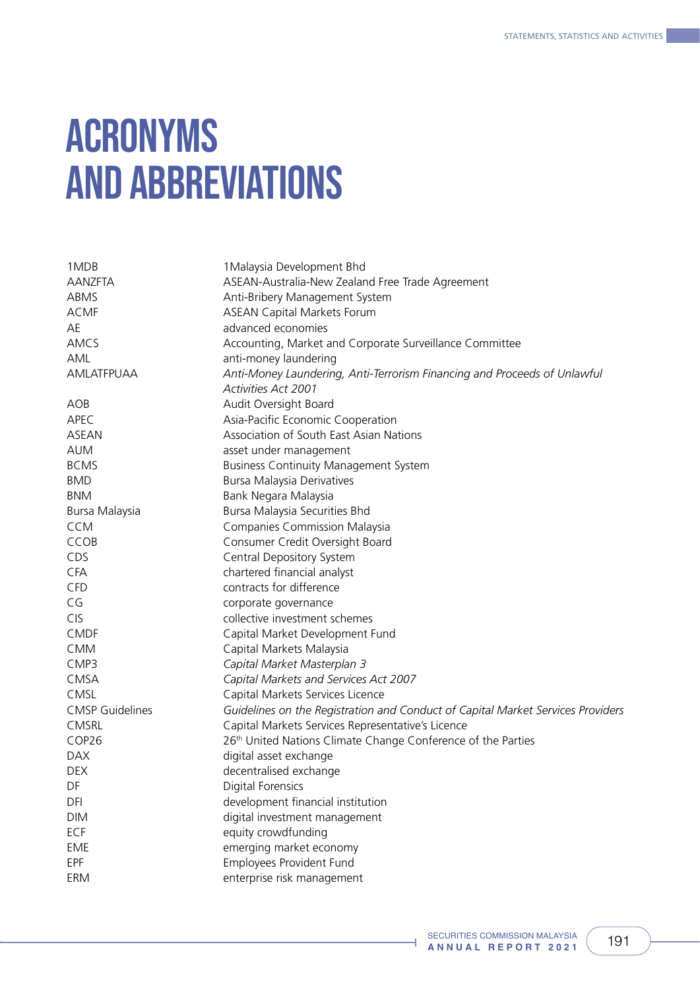## ACRONYMS AND ABBREVIATIONS

| 1MDB                   | 1 Malaysia Development Bhd                                                      |
|------------------------|---------------------------------------------------------------------------------|
| <b>AANZFTA</b>         | ASEAN-Australia-New Zealand Free Trade Agreement                                |
| ABMS                   | Anti-Bribery Management System                                                  |
| <b>ACMF</b>            | <b>ASEAN Capital Markets Forum</b>                                              |
| AE                     | advanced economies                                                              |
| AMCS                   | Accounting, Market and Corporate Surveillance Committee                         |
| AML                    | anti-money laundering                                                           |
| AMLATFPUAA             | Anti-Money Laundering, Anti-Terrorism Financing and Proceeds of Unlawful        |
|                        | <b>Activities Act 2001</b>                                                      |
| AOB                    | Audit Oversight Board                                                           |
| APEC                   | Asia-Pacific Economic Cooperation                                               |
| <b>ASEAN</b>           | Association of South East Asian Nations                                         |
| <b>AUM</b>             | asset under management                                                          |
| <b>BCMS</b>            | <b>Business Continuity Management System</b>                                    |
| <b>BMD</b>             | <b>Bursa Malaysia Derivatives</b>                                               |
| <b>BNM</b>             | Bank Negara Malaysia                                                            |
| Bursa Malaysia         | Bursa Malaysia Securities Bhd                                                   |
| <b>CCM</b>             | <b>Companies Commission Malaysia</b>                                            |
| CCOB                   | Consumer Credit Oversight Board                                                 |
| CDS                    | Central Depository System                                                       |
| <b>CFA</b>             | chartered financial analyst                                                     |
| <b>CFD</b>             | contracts for difference                                                        |
| CG                     | corporate governance                                                            |
| <b>CIS</b>             | collective investment schemes                                                   |
| <b>CMDF</b>            | Capital Market Development Fund                                                 |
| <b>CMM</b>             | Capital Markets Malaysia                                                        |
| CMP3                   | Capital Market Masterplan 3                                                     |
| <b>CMSA</b>            | Capital Markets and Services Act 2007                                           |
| <b>CMSL</b>            | Capital Markets Services Licence                                                |
| <b>CMSP</b> Guidelines | Guidelines on the Registration and Conduct of Capital Market Services Providers |
| <b>CMSRL</b>           | Capital Markets Services Representative's Licence                               |
| COP26                  | 26 <sup>th</sup> United Nations Climate Change Conference of the Parties        |
| <b>DAX</b>             | digital asset exchange                                                          |
| <b>DEX</b>             | decentralised exchange                                                          |
| DF                     | Digital Forensics                                                               |
| DFI                    | development financial institution                                               |
| <b>DIM</b>             | digital investment management                                                   |
| ECF                    | equity crowdfunding                                                             |
| EME                    | emerging market economy                                                         |
| <b>EPF</b>             | Employees Provident Fund                                                        |
| ERM                    | enterprise risk management                                                      |
|                        |                                                                                 |

á,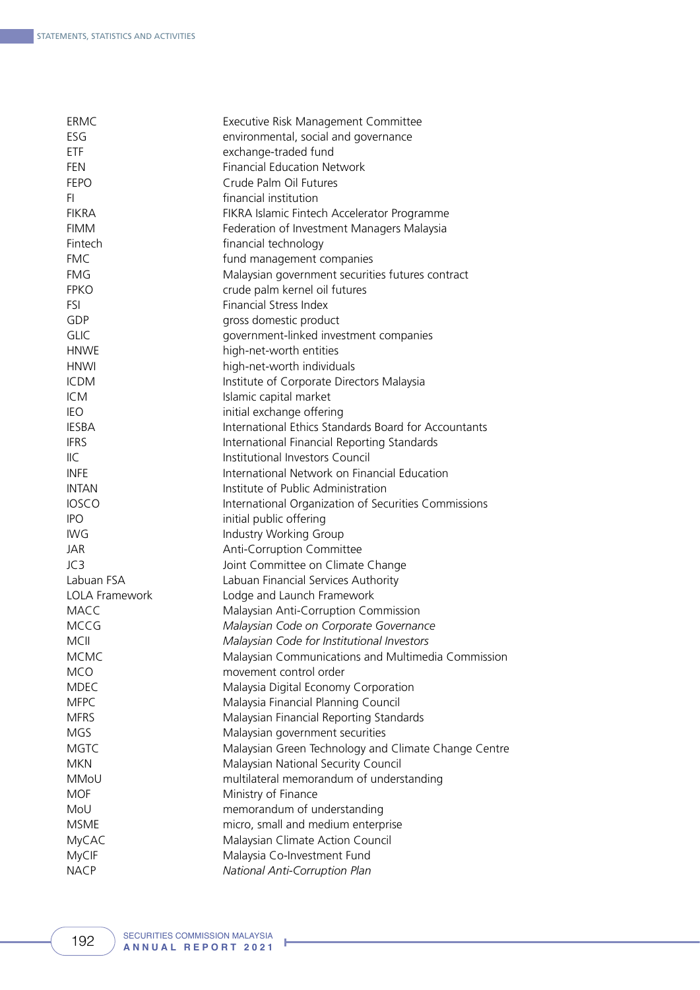| <b>ERMC</b>           | Executive Risk Management Committee                  |
|-----------------------|------------------------------------------------------|
| ESG                   | environmental, social and governance                 |
| <b>ETF</b>            | exchange-traded fund                                 |
| <b>FEN</b>            | <b>Financial Education Network</b>                   |
| <b>FEPO</b>           | Crude Palm Oil Futures                               |
| FI.                   | financial institution                                |
| <b>FIKRA</b>          | FIKRA Islamic Fintech Accelerator Programme          |
| <b>FIMM</b>           | Federation of Investment Managers Malaysia           |
| Fintech               | financial technology                                 |
| <b>FMC</b>            | fund management companies                            |
| <b>FMG</b>            | Malaysian government securities futures contract     |
| <b>FPKO</b>           | crude palm kernel oil futures                        |
| <b>FSI</b>            | <b>Financial Stress Index</b>                        |
| GDP                   | gross domestic product                               |
| <b>GLIC</b>           | government-linked investment companies               |
| <b>HNWE</b>           | high-net-worth entities                              |
| <b>HNWI</b>           | high-net-worth individuals                           |
| <b>ICDM</b>           | Institute of Corporate Directors Malaysia            |
| <b>ICM</b>            | Islamic capital market                               |
| <b>IEO</b>            | initial exchange offering                            |
| <b>IESBA</b>          | International Ethics Standards Board for Accountants |
| <b>IFRS</b>           | International Financial Reporting Standards          |
| IIC.                  | Institutional Investors Council                      |
| <b>INFE</b>           | International Network on Financial Education         |
| <b>INTAN</b>          | Institute of Public Administration                   |
| <b>IOSCO</b>          | International Organization of Securities Commissions |
| <b>IPO</b>            | initial public offering                              |
| <b>IWG</b>            | Industry Working Group                               |
| JAR                   | Anti-Corruption Committee                            |
| JC3                   | Joint Committee on Climate Change                    |
| Labuan FSA            | Labuan Financial Services Authority                  |
| <b>LOLA Framework</b> | Lodge and Launch Framework                           |
| MACC                  | Malaysian Anti-Corruption Commission                 |
| <b>MCCG</b>           | Malaysian Code on Corporate Governance               |
| <b>MCII</b>           | Malaysian Code for Institutional Investors           |
| <b>MCMC</b>           | Malaysian Communications and Multimedia Commission   |
| <b>MCO</b>            | movement control order                               |
| <b>MDEC</b>           | Malaysia Digital Economy Corporation                 |
| <b>MFPC</b>           | Malaysia Financial Planning Council                  |
| <b>MFRS</b>           | Malaysian Financial Reporting Standards              |
| <b>MGS</b>            | Malaysian government securities                      |
| <b>MGTC</b>           |                                                      |
| <b>MKN</b>            | Malaysian Green Technology and Climate Change Centre |
| MMoU                  | Malaysian National Security Council                  |
|                       | multilateral memorandum of understanding             |
| <b>MOF</b>            | Ministry of Finance                                  |
| MoU                   | memorandum of understanding                          |
| <b>MSME</b>           | micro, small and medium enterprise                   |
| MyCAC                 | Malaysian Climate Action Council                     |
| MyCIF                 | Malaysia Co-Investment Fund                          |
| <b>NACP</b>           | National Anti-Corruption Plan                        |